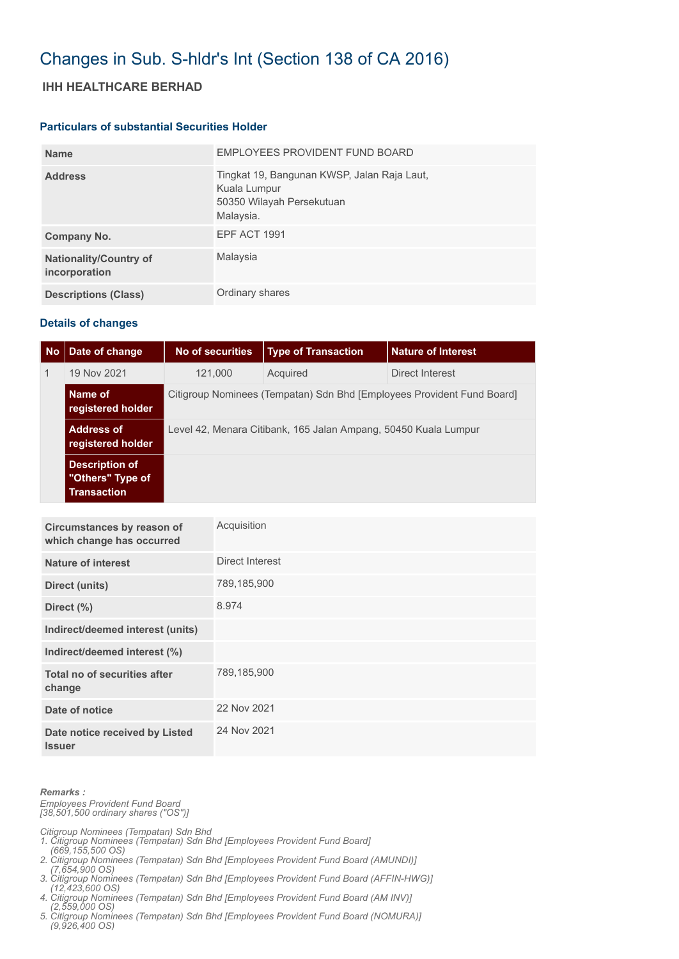# Changes in Sub. S-hldr's Int (Section 138 of CA 2016)

## **IHH HEALTHCARE BERHAD**

#### **Particulars of substantial Securities Holder**

| <b>Name</b>                                    | EMPLOYEES PROVIDENT FUND BOARD                                                                        |
|------------------------------------------------|-------------------------------------------------------------------------------------------------------|
| <b>Address</b>                                 | Tingkat 19, Bangunan KWSP, Jalan Raja Laut,<br>Kuala Lumpur<br>50350 Wilayah Persekutuan<br>Malaysia. |
| Company No.                                    | EPF ACT 1991                                                                                          |
| <b>Nationality/Country of</b><br>incorporation | Malaysia                                                                                              |
| <b>Descriptions (Class)</b>                    | Ordinary shares                                                                                       |

### **Details of changes**

| No | Date of change                                                  | No of securities                                                       | <b>Type of Transaction</b> | <b>Nature of Interest</b> |  |  |
|----|-----------------------------------------------------------------|------------------------------------------------------------------------|----------------------------|---------------------------|--|--|
| 1  | 19 Nov 2021                                                     | 121.000                                                                | Acquired                   | Direct Interest           |  |  |
|    | Name of<br>registered holder                                    | Citigroup Nominees (Tempatan) Sdn Bhd [Employees Provident Fund Board] |                            |                           |  |  |
|    | <b>Address of</b><br>registered holder                          | Level 42, Menara Citibank, 165 Jalan Ampang, 50450 Kuala Lumpur        |                            |                           |  |  |
|    | <b>Description of</b><br>"Others" Type of<br><b>Transaction</b> |                                                                        |                            |                           |  |  |

| Circumstances by reason of<br>which change has occurred | Acquisition     |
|---------------------------------------------------------|-----------------|
| Nature of interest                                      | Direct Interest |
| Direct (units)                                          | 789,185,900     |
| Direct (%)                                              | 8.974           |
| Indirect/deemed interest (units)                        |                 |
| Indirect/deemed interest (%)                            |                 |
| Total no of securities after<br>change                  | 789,185,900     |
| Date of notice                                          | 22 Nov 2021     |
| Date notice received by Listed<br><b>Issuer</b>         | 24 Nov 2021     |

#### *Remarks :*

*Employees Provident Fund Board [38,501,500 ordinary shares ("OS")]*

*Citigroup Nominees (Tempatan) Sdn Bhd* 

- *1. Citigroup Nominees (Tempatan) Sdn Bhd [Employees Provident Fund Board]*
- *(669,155,500 OS) 2. Citigroup Nominees (Tempatan) Sdn Bhd [Employees Provident Fund Board (AMUNDI)]*
- *(7,654,900 OS) 3. Citigroup Nominees (Tempatan) Sdn Bhd [Employees Provident Fund Board (AFFIN-HWG)]*
- *(12,423,600 OS) 4. Citigroup Nominees (Tempatan) Sdn Bhd [Employees Provident Fund Board (AM INV)]*
- *(2,559,000 OS)*
- *5. Citigroup Nominees (Tempatan) Sdn Bhd [Employees Provident Fund Board (NOMURA)] (9,926,400 OS)*